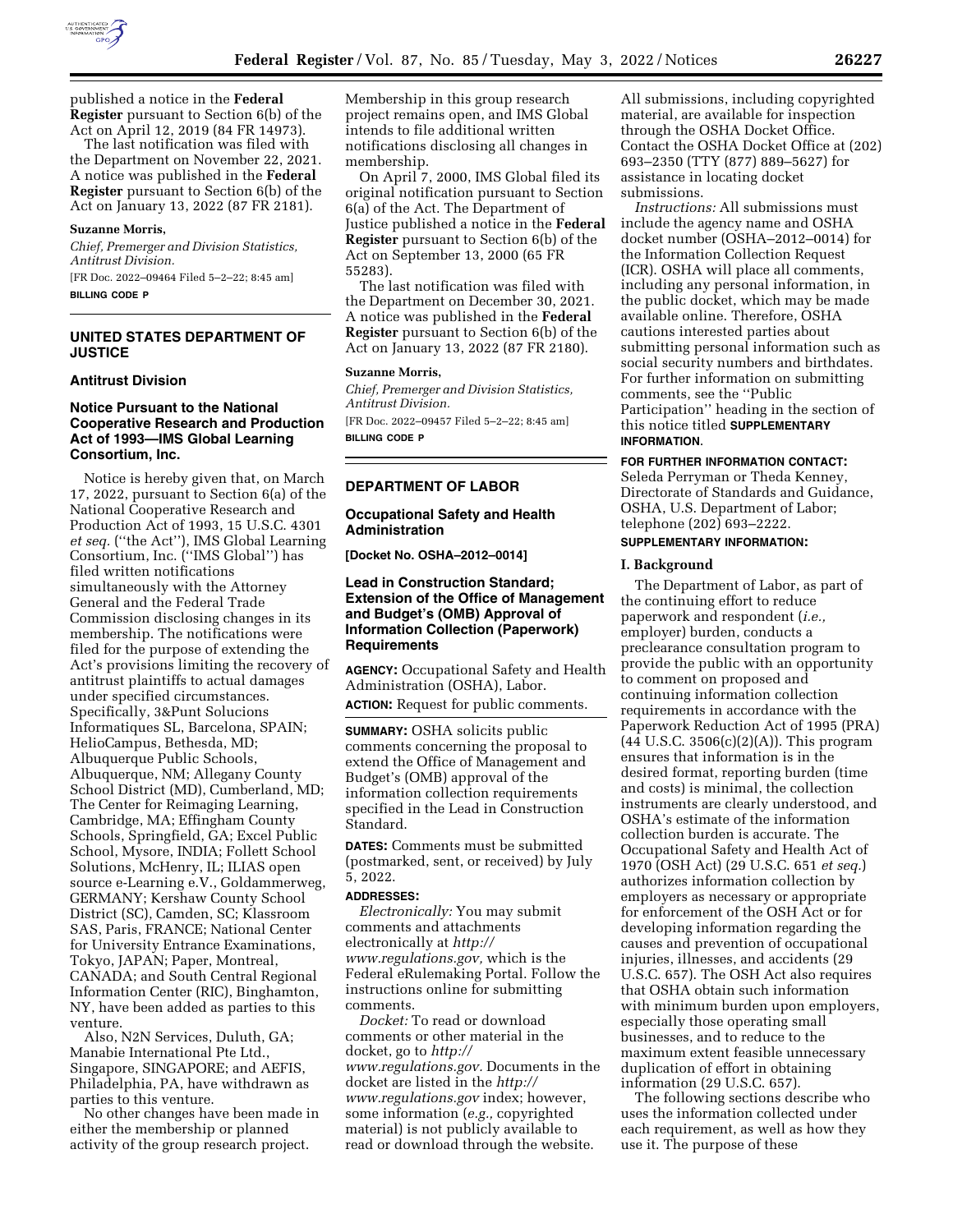

published a notice in the **Federal Register** pursuant to Section 6(b) of the Act on April 12, 2019 (84 FR 14973).

The last notification was filed with the Department on November 22, 2021. A notice was published in the **Federal Register** pursuant to Section 6(b) of the Act on January 13, 2022 (87 FR 2181).

### **Suzanne Morris,**

*Chief, Premerger and Division Statistics, Antitrust Division.* 

[FR Doc. 2022–09464 Filed 5–2–22; 8:45 am] **BILLING CODE P** 

# **UNITED STATES DEPARTMENT OF JUSTICE**

### **Antitrust Division**

# **Notice Pursuant to the National Cooperative Research and Production Act of 1993—IMS Global Learning Consortium, Inc.**

Notice is hereby given that, on March 17, 2022, pursuant to Section 6(a) of the National Cooperative Research and Production Act of 1993, 15 U.S.C. 4301 *et seq.* (''the Act''), IMS Global Learning Consortium, Inc. (''IMS Global'') has filed written notifications simultaneously with the Attorney General and the Federal Trade Commission disclosing changes in its membership. The notifications were filed for the purpose of extending the Act's provisions limiting the recovery of antitrust plaintiffs to actual damages under specified circumstances. Specifically, 3&Punt Solucions Informatiques SL, Barcelona, SPAIN; HelioCampus, Bethesda, MD; Albuquerque Public Schools, Albuquerque, NM; Allegany County School District (MD), Cumberland, MD; The Center for Reimaging Learning, Cambridge, MA; Effingham County Schools, Springfield, GA; Excel Public School, Mysore, INDIA; Follett School Solutions, McHenry, IL; ILIAS open source e-Learning e.V., Goldammerweg, GERMANY; Kershaw County School District (SC), Camden, SC; Klassroom SAS, Paris, FRANCE; National Center for University Entrance Examinations, Tokyo, JAPAN; Paper, Montreal, CANADA; and South Central Regional Information Center (RIC), Binghamton, NY, have been added as parties to this venture.

Also, N2N Services, Duluth, GA; Manabie International Pte Ltd., Singapore, SINGAPORE; and AEFIS, Philadelphia, PA, have withdrawn as parties to this venture.

No other changes have been made in either the membership or planned activity of the group research project.

Membership in this group research project remains open, and IMS Global intends to file additional written notifications disclosing all changes in membership.

On April 7, 2000, IMS Global filed its original notification pursuant to Section 6(a) of the Act. The Department of Justice published a notice in the **Federal Register** pursuant to Section 6(b) of the Act on September 13, 2000 (65 FR 55283).

The last notification was filed with the Department on December 30, 2021. A notice was published in the **Federal Register** pursuant to Section 6(b) of the Act on January 13, 2022 (87 FR 2180).

#### **Suzanne Morris,**

*Chief, Premerger and Division Statistics, Antitrust Division.* 

[FR Doc. 2022–09457 Filed 5–2–22; 8:45 am] **BILLING CODE P** 

### **DEPARTMENT OF LABOR**

## **Occupational Safety and Health Administration**

**[Docket No. OSHA–2012–0014]** 

## **Lead in Construction Standard; Extension of the Office of Management and Budget's (OMB) Approval of Information Collection (Paperwork) Requirements**

**AGENCY:** Occupational Safety and Health Administration (OSHA), Labor.

**ACTION:** Request for public comments.

**SUMMARY:** OSHA solicits public comments concerning the proposal to extend the Office of Management and Budget's (OMB) approval of the information collection requirements specified in the Lead in Construction Standard.

**DATES:** Comments must be submitted (postmarked, sent, or received) by July 5, 2022.

## **ADDRESSES:**

*Electronically:* You may submit comments and attachments electronically at *[http://](http://www.regulations.gov) [www.regulations.gov,](http://www.regulations.gov)* which is the Federal eRulemaking Portal. Follow the instructions online for submitting comments.

*Docket:* To read or download comments or other material in the docket, go to *[http://](http://www.regulations.gov) [www.regulations.gov.](http://www.regulations.gov)* Documents in the docket are listed in the *[http://](http://www.regulations.gov) [www.regulations.gov](http://www.regulations.gov)* index; however, some information (*e.g.,* copyrighted material) is not publicly available to read or download through the website.

All submissions, including copyrighted material, are available for inspection through the OSHA Docket Office. Contact the OSHA Docket Office at (202) 693–2350 (TTY (877) 889–5627) for assistance in locating docket submissions.

*Instructions:* All submissions must include the agency name and OSHA docket number (OSHA–2012–0014) for the Information Collection Request (ICR). OSHA will place all comments, including any personal information, in the public docket, which may be made available online. Therefore, OSHA cautions interested parties about submitting personal information such as social security numbers and birthdates. For further information on submitting comments, see the ''Public Participation'' heading in the section of this notice titled **SUPPLEMENTARY INFORMATION**.

**FOR FURTHER INFORMATION CONTACT:** 

Seleda Perryman or Theda Kenney, Directorate of Standards and Guidance, OSHA, U.S. Department of Labor; telephone (202) 693–2222. **SUPPLEMENTARY INFORMATION:** 

#### **I. Background**

The Department of Labor, as part of the continuing effort to reduce paperwork and respondent (*i.e.,*  employer) burden, conducts a preclearance consultation program to provide the public with an opportunity to comment on proposed and continuing information collection requirements in accordance with the Paperwork Reduction Act of 1995 (PRA)  $(44 \text{ U.S.C. } 3506(c)(2)(A))$ . This program ensures that information is in the desired format, reporting burden (time and costs) is minimal, the collection instruments are clearly understood, and OSHA's estimate of the information collection burden is accurate. The Occupational Safety and Health Act of 1970 (OSH Act) (29 U.S.C. 651 *et seq.*) authorizes information collection by employers as necessary or appropriate for enforcement of the OSH Act or for developing information regarding the causes and prevention of occupational injuries, illnesses, and accidents (29 U.S.C. 657). The OSH Act also requires that OSHA obtain such information with minimum burden upon employers, especially those operating small businesses, and to reduce to the maximum extent feasible unnecessary duplication of effort in obtaining information (29 U.S.C. 657).

The following sections describe who uses the information collected under each requirement, as well as how they use it. The purpose of these